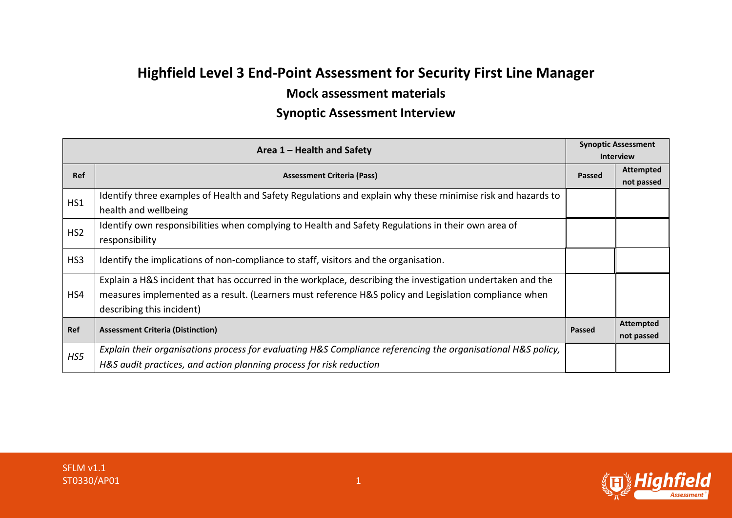## **Highfield Level 3 End-Point Assessment for Security First Line Manager**

## **Mock assessment materials**

## **Synoptic Assessment Interview**

| Area $1$ – Health and Safety | <b>Synoptic Assessment</b>                                                                                   |                  |                  |
|------------------------------|--------------------------------------------------------------------------------------------------------------|------------------|------------------|
|                              |                                                                                                              | <b>Interview</b> |                  |
| <b>Ref</b>                   | <b>Assessment Criteria (Pass)</b>                                                                            | Passed           | <b>Attempted</b> |
|                              |                                                                                                              |                  | not passed       |
| HS1                          | Identify three examples of Health and Safety Regulations and explain why these minimise risk and hazards to  |                  |                  |
|                              | health and wellbeing                                                                                         |                  |                  |
| HS <sub>2</sub>              | Identify own responsibilities when complying to Health and Safety Regulations in their own area of           |                  |                  |
|                              | responsibility                                                                                               |                  |                  |
| HS3                          | Identify the implications of non-compliance to staff, visitors and the organisation.                         |                  |                  |
|                              | Explain a H&S incident that has occurred in the workplace, describing the investigation undertaken and the   |                  |                  |
| HS4                          | measures implemented as a result. (Learners must reference H&S policy and Legislation compliance when        |                  |                  |
|                              | describing this incident)                                                                                    |                  |                  |
| Ref                          | <b>Assessment Criteria (Distinction)</b>                                                                     | <b>Passed</b>    | <b>Attempted</b> |
|                              |                                                                                                              |                  | not passed       |
| HS5                          | Explain their organisations process for evaluating H&S Compliance referencing the organisational H&S policy, |                  |                  |
|                              | H&S audit practices, and action planning process for risk reduction                                          |                  |                  |

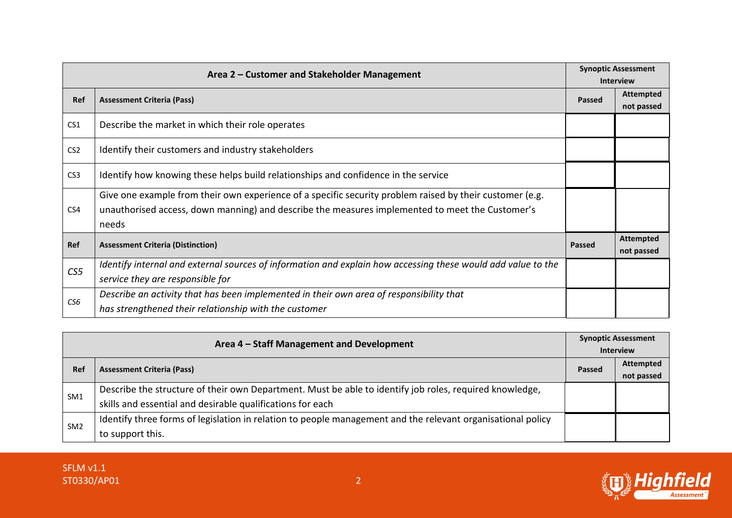| Area 2 – Customer and Stakeholder Management |                                                                                                                                                                                                                      |               | <b>Synoptic Assessment</b><br><b>Interview</b> |
|----------------------------------------------|----------------------------------------------------------------------------------------------------------------------------------------------------------------------------------------------------------------------|---------------|------------------------------------------------|
| Ref                                          | <b>Assessment Criteria (Pass)</b>                                                                                                                                                                                    | Passed        | <b>Attempted</b><br>not passed                 |
| CS <sub>1</sub>                              | Describe the market in which their role operates                                                                                                                                                                     |               |                                                |
| CS <sub>2</sub>                              | Identify their customers and industry stakeholders                                                                                                                                                                   |               |                                                |
| CS <sub>3</sub>                              | Identify how knowing these helps build relationships and confidence in the service                                                                                                                                   |               |                                                |
| CS4                                          | Give one example from their own experience of a specific security problem raised by their customer (e.g.<br>unauthorised access, down manning) and describe the measures implemented to meet the Customer's<br>needs |               |                                                |
| Ref                                          | <b>Assessment Criteria (Distinction)</b>                                                                                                                                                                             | <b>Passed</b> | <b>Attempted</b><br>not passed                 |
| CS <sub>5</sub>                              | Identify internal and external sources of information and explain how accessing these would add value to the                                                                                                         |               |                                                |
|                                              | service they are responsible for                                                                                                                                                                                     |               |                                                |
| CS6                                          | Describe an activity that has been implemented in their own area of responsibility that                                                                                                                              |               |                                                |
|                                              | has strengthened their relationship with the customer                                                                                                                                                                |               |                                                |

| Area 4 - Staff Management and Development |                                                                                                             | <b>Synoptic Assessment</b> |                  |
|-------------------------------------------|-------------------------------------------------------------------------------------------------------------|----------------------------|------------------|
|                                           |                                                                                                             | <b>Interview</b>           |                  |
| Ref                                       | <b>Assessment Criteria (Pass)</b>                                                                           | <b>Passed</b>              | <b>Attempted</b> |
|                                           |                                                                                                             |                            | not passed       |
| SM <sub>1</sub>                           | Describe the structure of their own Department. Must be able to identify job roles, required knowledge,     |                            |                  |
|                                           | skills and essential and desirable qualifications for each                                                  |                            |                  |
| SM <sub>2</sub>                           | Identify three forms of legislation in relation to people management and the relevant organisational policy |                            |                  |
|                                           | to support this.                                                                                            |                            |                  |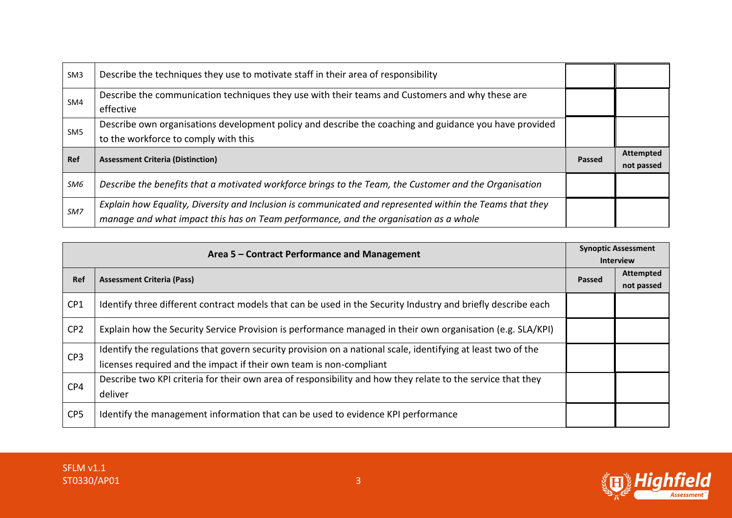| SM <sub>3</sub> | Describe the techniques they use to motivate staff in their area of responsibility                                                             |        |                  |
|-----------------|------------------------------------------------------------------------------------------------------------------------------------------------|--------|------------------|
| SM4             | Describe the communication techniques they use with their teams and Customers and why these are<br>effective                                   |        |                  |
| SM <sub>5</sub> | Describe own organisations development policy and describe the coaching and guidance you have provided<br>to the workforce to comply with this |        |                  |
|                 |                                                                                                                                                |        | <b>Attempted</b> |
| Ref             | <b>Assessment Criteria (Distinction)</b>                                                                                                       | Passed | not passed       |
| SM6             | Describe the benefits that a motivated workforce brings to the Team, the Customer and the Organisation                                         |        |                  |

| Area 5 - Contract Performance and Management |                                                                                                              | <b>Synoptic Assessment</b> |                  |
|----------------------------------------------|--------------------------------------------------------------------------------------------------------------|----------------------------|------------------|
|                                              |                                                                                                              | <b>Interview</b>           |                  |
| Ref                                          | <b>Assessment Criteria (Pass)</b>                                                                            | Passed                     | <b>Attempted</b> |
|                                              |                                                                                                              |                            | not passed       |
| CP1                                          | Identify three different contract models that can be used in the Security Industry and briefly describe each |                            |                  |
| CP <sub>2</sub>                              | Explain how the Security Service Provision is performance managed in their own organisation (e.g. SLA/KPI)   |                            |                  |
| CP3                                          | Identify the regulations that govern security provision on a national scale, identifying at least two of the |                            |                  |
|                                              | licenses required and the impact if their own team is non-compliant                                          |                            |                  |
| CP4                                          | Describe two KPI criteria for their own area of responsibility and how they relate to the service that they  |                            |                  |
|                                              | deliver                                                                                                      |                            |                  |
| CP <sub>5</sub>                              | Identify the management information that can be used to evidence KPI performance                             |                            |                  |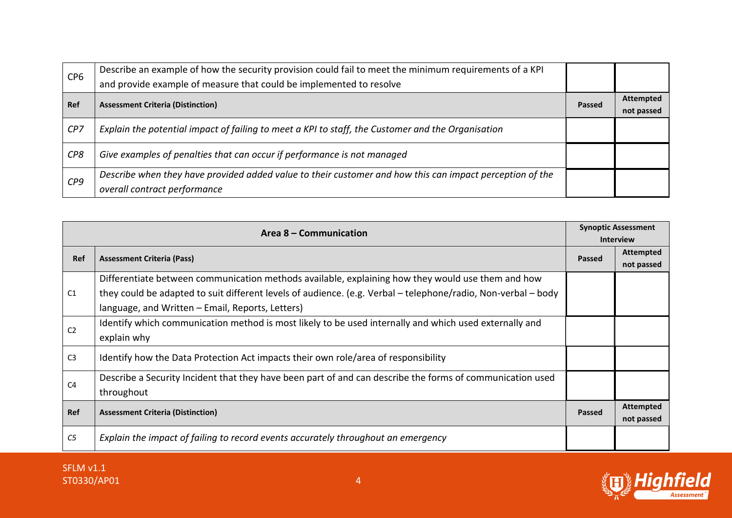| CP <sub>6</sub> | Describe an example of how the security provision could fail to meet the minimum requirements of a KPI<br>and provide example of measure that could be implemented to resolve |        |                                |
|-----------------|-------------------------------------------------------------------------------------------------------------------------------------------------------------------------------|--------|--------------------------------|
| Ref             | <b>Assessment Criteria (Distinction)</b>                                                                                                                                      | Passed | <b>Attempted</b><br>not passed |
| CP7             | Explain the potential impact of failing to meet a KPI to staff, the Customer and the Organisation                                                                             |        |                                |
| CP8             | Give examples of penalties that can occur if performance is not managed                                                                                                       |        |                                |
| CP9             | Describe when they have provided added value to their customer and how this can impact perception of the<br>overall contract performance                                      |        |                                |

| Area 8 – Communication |                                                                                                               |               | <b>Synoptic Assessment</b><br><b>Interview</b> |
|------------------------|---------------------------------------------------------------------------------------------------------------|---------------|------------------------------------------------|
| Ref                    | <b>Assessment Criteria (Pass)</b>                                                                             | <b>Passed</b> | <b>Attempted</b><br>not passed                 |
|                        | Differentiate between communication methods available, explaining how they would use them and how             |               |                                                |
| C1                     | they could be adapted to suit different levels of audience. (e.g. Verbal - telephone/radio, Non-verbal - body |               |                                                |
|                        | language, and Written - Email, Reports, Letters)                                                              |               |                                                |
| C <sub>2</sub>         | Identify which communication method is most likely to be used internally and which used externally and        |               |                                                |
|                        | explain why                                                                                                   |               |                                                |
| C <sub>3</sub>         | Identify how the Data Protection Act impacts their own role/area of responsibility                            |               |                                                |
| C <sub>4</sub>         | Describe a Security Incident that they have been part of and can describe the forms of communication used     |               |                                                |
|                        | throughout                                                                                                    |               |                                                |
| Ref                    | <b>Assessment Criteria (Distinction)</b>                                                                      | <b>Passed</b> | <b>Attempted</b>                               |
|                        |                                                                                                               |               | not passed                                     |
| C5                     | Explain the impact of failing to record events accurately throughout an emergency                             |               |                                                |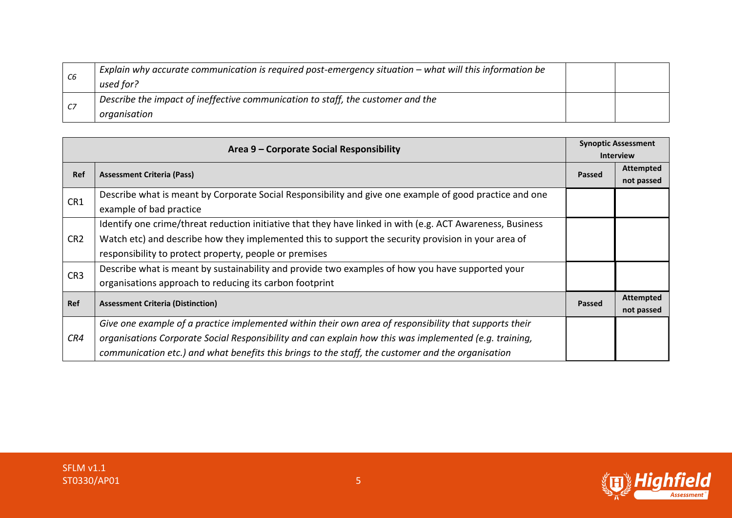| C6 | Explain why accurate communication is required post-emergency situation – what will this information be<br>used for? |  |
|----|----------------------------------------------------------------------------------------------------------------------|--|
|    | Describe the impact of ineffective communication to staff, the customer and the                                      |  |
|    | organisation                                                                                                         |  |

| Area 9 – Corporate Social Responsibility |                                                                                                            | <b>Synoptic Assessment</b> |                  |
|------------------------------------------|------------------------------------------------------------------------------------------------------------|----------------------------|------------------|
|                                          |                                                                                                            |                            | <b>Interview</b> |
| Ref                                      | <b>Assessment Criteria (Pass)</b>                                                                          | <b>Passed</b>              | <b>Attempted</b> |
|                                          |                                                                                                            |                            | not passed       |
| CR1                                      | Describe what is meant by Corporate Social Responsibility and give one example of good practice and one    |                            |                  |
|                                          | example of bad practice                                                                                    |                            |                  |
|                                          | Identify one crime/threat reduction initiative that they have linked in with (e.g. ACT Awareness, Business |                            |                  |
| CR <sub>2</sub>                          | Watch etc) and describe how they implemented this to support the security provision in your area of        |                            |                  |
|                                          | responsibility to protect property, people or premises                                                     |                            |                  |
| CR <sub>3</sub>                          | Describe what is meant by sustainability and provide two examples of how you have supported your           |                            |                  |
|                                          | organisations approach to reducing its carbon footprint                                                    |                            |                  |
| Ref                                      | <b>Assessment Criteria (Distinction)</b>                                                                   | <b>Passed</b>              | <b>Attempted</b> |
|                                          |                                                                                                            |                            | not passed       |
|                                          | Give one example of a practice implemented within their own area of responsibility that supports their     |                            |                  |
| CR4                                      | organisations Corporate Social Responsibility and can explain how this was implemented (e.g. training,     |                            |                  |
|                                          | communication etc.) and what benefits this brings to the staff, the customer and the organisation          |                            |                  |

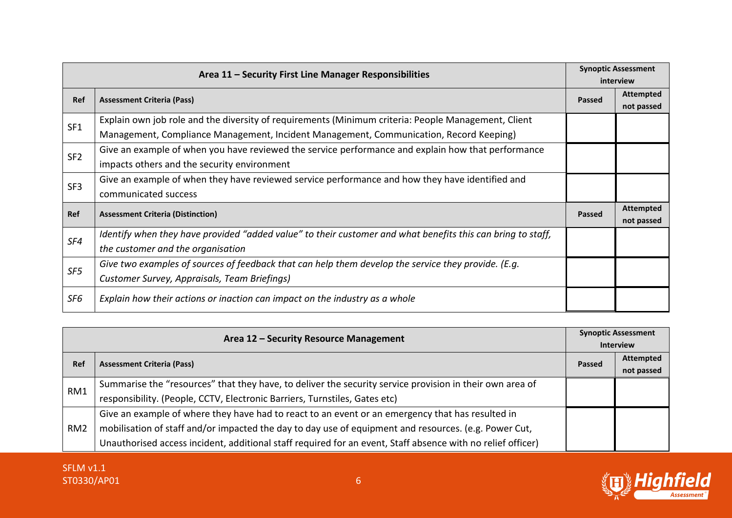| Area 11 - Security First Line Manager Responsibilities |                                                                                                             |               | <b>Synoptic Assessment</b><br>interview |
|--------------------------------------------------------|-------------------------------------------------------------------------------------------------------------|---------------|-----------------------------------------|
| Ref                                                    | <b>Assessment Criteria (Pass)</b>                                                                           | <b>Passed</b> | <b>Attempted</b>                        |
|                                                        |                                                                                                             |               | not passed                              |
| SF1                                                    | Explain own job role and the diversity of requirements (Minimum criteria: People Management, Client         |               |                                         |
|                                                        | Management, Compliance Management, Incident Management, Communication, Record Keeping)                      |               |                                         |
| SF <sub>2</sub>                                        | Give an example of when you have reviewed the service performance and explain how that performance          |               |                                         |
|                                                        | impacts others and the security environment                                                                 |               |                                         |
| SF <sub>3</sub>                                        | Give an example of when they have reviewed service performance and how they have identified and             |               |                                         |
|                                                        | communicated success                                                                                        |               |                                         |
| Ref                                                    | <b>Assessment Criteria (Distinction)</b>                                                                    | <b>Passed</b> | <b>Attempted</b>                        |
|                                                        |                                                                                                             |               | not passed                              |
| SF4                                                    | Identify when they have provided "added value" to their customer and what benefits this can bring to staff, |               |                                         |
|                                                        | the customer and the organisation                                                                           |               |                                         |
| SF5                                                    | Give two examples of sources of feedback that can help them develop the service they provide. (E.g.         |               |                                         |
|                                                        | Customer Survey, Appraisals, Team Briefings)                                                                |               |                                         |
| SF6                                                    | Explain how their actions or inaction can impact on the industry as a whole                                 |               |                                         |

| Area 12 - Security Resource Management |                                                                                                             | <b>Synoptic Assessment</b><br><b>Interview</b> |                                |
|----------------------------------------|-------------------------------------------------------------------------------------------------------------|------------------------------------------------|--------------------------------|
| <b>Ref</b>                             | <b>Assessment Criteria (Pass)</b>                                                                           | Passed                                         | <b>Attempted</b><br>not passed |
|                                        | Summarise the "resources" that they have, to deliver the security service provision in their own area of    |                                                |                                |
| RM1                                    | responsibility. (People, CCTV, Electronic Barriers, Turnstiles, Gates etc)                                  |                                                |                                |
|                                        | Give an example of where they have had to react to an event or an emergency that has resulted in            |                                                |                                |
| RM <sub>2</sub>                        | mobilisation of staff and/or impacted the day to day use of equipment and resources. (e.g. Power Cut,       |                                                |                                |
|                                        | Unauthorised access incident, additional staff required for an event, Staff absence with no relief officer) |                                                |                                |